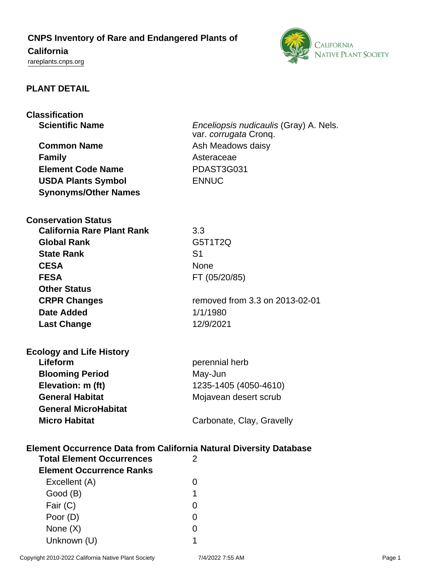## **CNPS Inventory of Rare and Endangered Plants of**

# **California**

<rareplants.cnps.org>



### **PLANT DETAIL**

| <b>Classification</b><br><b>Scientific Name</b><br><b>Common Name</b><br><b>Family</b><br><b>Element Code Name</b><br><b>USDA Plants Symbol</b><br><b>Synonyms/Other Names</b>         | <i>Enceliopsis nudicaulis</i> (Gray) A. Nels.<br>var. corrugata Cronq.<br>Ash Meadows daisy<br>Asteraceae<br>PDAST3G031<br><b>ENNUC</b> |
|----------------------------------------------------------------------------------------------------------------------------------------------------------------------------------------|-----------------------------------------------------------------------------------------------------------------------------------------|
| <b>Conservation Status</b><br><b>California Rare Plant Rank</b><br><b>Global Rank</b><br><b>State Rank</b><br><b>CESA</b><br><b>FESA</b><br><b>Other Status</b><br><b>CRPR Changes</b> | 3.3<br>G5T1T2Q<br>S <sub>1</sub><br><b>None</b><br>FT (05/20/85)<br>removed from 3.3 on 2013-02-01                                      |
| Date Added<br><b>Last Change</b>                                                                                                                                                       | 1/1/1980<br>12/9/2021                                                                                                                   |
| <b>Ecology and Life History</b><br>Lifeform<br><b>Blooming Period</b><br>Elevation: m (ft)<br><b>General Habitat</b><br><b>General MicroHabitat</b><br><b>Micro Habitat</b>            | perennial herb<br>May-Jun<br>1235-1405 (4050-4610)<br>Mojavean desert scrub<br>Carbonate, Clay, Gravelly                                |
| <b>Element Occurrence Data from California Natural Diversity Database</b><br><b>Total Element Occurrences</b><br><b>Element Occurrence Ranks</b><br>Excellent (A)                      | 2<br>0                                                                                                                                  |
| Good (B)<br>Fair (C)<br>Poor (D)<br>None (X)                                                                                                                                           | 1<br>0<br>0<br>0                                                                                                                        |

Unknown (U) 1